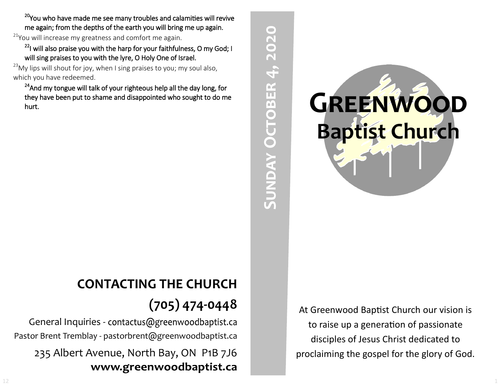<sup>20</sup>You who have made me see many troubles and calamities will revive me again; from the depths of the earth you will bring me up again.

 $21$ You will increase my greatness and comfort me again.

 $22$ I will also praise you with the harp for your faithfulness, O my God; I will sing praises to you with the lyre, O Holy One of Israel.

 $^{23}$ My lips will shout for joy, when I sing praises to you; my soul also, which you have redeemed.

<sup>24</sup>And my tongue will talk of your righteous help all the day long, for they have been put to shame and disappointed who sought to do me hurt.

## **CONTACTING THE CHURCH (705) 474-0448**

General Inquiries - contactus@greenwoodbaptist.ca Pastor Brent Tremblay - pastorbrent@greenwoodbaptist.ca 235 Albert Avenue, North Bay, ON P1B 7J6 www.greenwoodbaptist.ca



**Sunday October 4, 2020**

**SUNDAY OCTOBER 4, 2020** 

At Greenwood Baptist Church our vision is to raise up a generation of passionate disciples of Jesus Christ dedicated to proclaiming the gospel for the glory of God.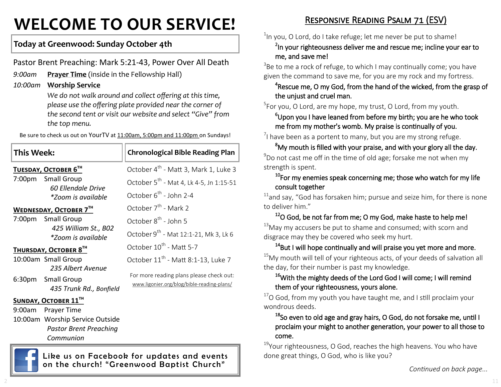# **WELCOME TO OUR SERVICE!**

## **Today at Greenwood: Sunday October 4th**

Pastor Brent Preaching: Mark 5:21-43, Power Over All Death

*9:00am* **Prayer Time** (inside in the Fellowship Hall)

#### *10:00am* **Worship Service**

*We do not walk around and collect offering at this time, please use the offering plate provided near the corner of the second tent or visit our website and select "Give" from the top menu.*

Be sure to check us out on YourTV at 11:00am, 5:00pm and 11:00pm on Sundays!

| <b>This Week:</b>             |                                                                  | <b>Chronological Bible Reading Plan</b>                                                |
|-------------------------------|------------------------------------------------------------------|----------------------------------------------------------------------------------------|
| TUESDAY, OCTOBER 6TH          |                                                                  | October 4 <sup>th</sup> - Matt 3, Mark 1, Luke 3                                       |
|                               | 7:00pm Small Group<br>60 Ellendale Drive<br>*Zoom is available   | October 5 <sup>th</sup> - Mat 4, Lk 4-5, Jn 1:15-51                                    |
|                               |                                                                  | October 6 <sup>th</sup> - John 2-4                                                     |
| <b>WEDNESDAY, OCTOBER 7TH</b> |                                                                  | October 7 <sup>th</sup> - Mark 2                                                       |
|                               | 7:00pm Small Group<br>425 William St., B02<br>*Zoom is available | October 8 <sup>th</sup> - John 5                                                       |
|                               |                                                                  | October $9^{th}$ - Mat 12:1-21, Mk 3, Lk 6                                             |
| THURSDAY, OCTOBER 8TH         |                                                                  | October 10 <sup>th</sup> - Matt 5-7                                                    |
|                               | 10:00am Small Group                                              | October 11 <sup>th</sup> - Matt 8:1-13, Luke 7                                         |
|                               | 235 Albert Avenue                                                | For more reading plans please check out:<br>www.ligonier.org/blog/bible-reading-plans/ |
|                               | 6:30pm Small Group                                               |                                                                                        |
|                               | 435 Trunk Rd., Bonfield                                          |                                                                                        |
| <b>SUNDAY, OCTOBER 11TH</b>   |                                                                  |                                                                                        |
| 9:00am                        | Prayer Time                                                      |                                                                                        |
|                               | 10:00am Worship Service Outside                                  |                                                                                        |
|                               | <b>Pastor Brent Preaching</b>                                    |                                                                                        |
|                               | Communion                                                        |                                                                                        |

Like us on Facebook for updates and events on the church! "Greenwood Baptist Church"

## Responsive Reading Psalm 71 (ESV)

 $1$ In you, O Lord, do I take refuge; let me never be put to shame!

<sup>2</sup>In your righteousness deliver me and rescue me; incline your ear to me, and save me!

 $3$ Be to me a rock of refuge, to which I may continually come; you have given the command to save me, for you are my rock and my fortress.

#### ${}^{4}$ Rescue me, O my God, from the hand of the wicked, from the grasp of the unjust and cruel man.

<sup>5</sup>For you, O Lord, are my hope, my trust, O Lord, from my youth.

 $6$ Upon you I have leaned from before my birth; you are he who took me from my mother's womb. My praise is continually of you.

 $\frac{7}{1}$  have been as a portent to many, but you are my strong refuge.

<sup>8</sup>Mv mouth is filled with your praise, and with your glory all the day.  $^{9}$ Do not cast me off in the time of old age; forsake me not when my strength is spent.

#### $10$ For my enemies speak concerning me; those who watch for my life consult together

 $11$ and say, "God has forsaken him; pursue and seize him, for there is none to deliver him."

#### <sup>12</sup>O God, be not far from me; O my God, make haste to help me!  $13$ May my accusers be put to shame and consumed; with scorn and disgrace may they be covered who seek my hurt.

#### <sup>14</sup>But I will hope continually and will praise you yet more and more.  $15$ My mouth will tell of your righteous acts, of your deeds of salvation all the day, for their number is past my knowledge.

#### <sup>16</sup>With the mighty deeds of the Lord God I will come; I will remind them of your righteousness, yours alone.

 $17$ O God, from my youth you have taught me, and I still proclaim your wondrous deeds.

#### <sup>18</sup>So even to old age and gray hairs, O God, do not forsake me, until I proclaim your might to another generation, your power to all those to come.

<sup>19</sup>Your righteousness, O God, reaches the high heavens. You who have done great things, O God, who is like you?

*Continued on back page...*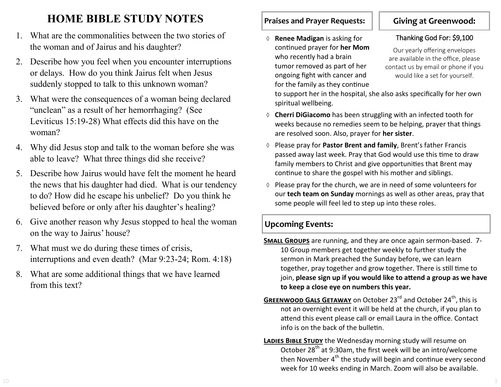## **HOME BIBLE STUDY NOTES**

- 1. What are the commonalities between the two stories of the woman and of Jairus and his daughter?
- 2. Describe how you feel when you encounter interruptions or delays. How do you think Jairus felt when Jesus suddenly stopped to talk to this unknown woman?
- 3. What were the consequences of a woman being declared "unclean" as a result of her hemorrhaging? (See Leviticus 15:19-28) What effects did this have on the woman?
- 4. Why did Jesus stop and talk to the woman before she was able to leave? What three things did she receive?
- 5. Describe how Jairus would have felt the moment he heard the news that his daughter had died. What is our tendency to do? How did he escape his unbelief? Do you think he believed before or only after his daughter's healing?
- 6. Give another reason why Jesus stopped to heal the woman on the way to Jairus' house?
- 7. What must we do during these times of crisis, interruptions and even death? (Mar 9:23-24; Rom. 4:18)
- 8. What are some additional things that we have learned from this text?

#### **Praises and Prayer Requests:**

 **Renee Madigan** is asking for continued prayer for **her Mom**  who recently had a brain tumor removed as part of her ongoing fight with cancer and for the family as they continue

## **Giving at Greenwood:**

#### Thanking God For: \$9,100

Our yearly offering envelopes are available in the office, please contact us by email or phone if you would like a set for yourself.

to support her in the hospital, she also asks specifically for her own spiritual wellbeing.

- **Cherri DiGiacomo** has been struggling with an infected tooth for weeks because no remedies seem to be helping, prayer that things are resolved soon. Also, prayer for **her sister**.
- Please pray for **Pastor Brent and family**, Brent's father Francis passed away last week. Pray that God would use this time to draw family members to Christ and give opportunities that Brent may continue to share the gospel with his mother and siblings.
- $\Diamond$  Please pray for the church, we are in need of some volunteers for our **tech team on Sunday** mornings as well as other areas, pray that some people will feel led to step up into these roles.

#### **Upcoming Events:**

- **Small Groups** are running, and they are once again sermon-based. 7- 10 Group members get together weekly to further study the sermon in Mark preached the Sunday before, we can learn together, pray together and grow together. There is still time to join, **please sign up if you would like to attend a group as we have to keep a close eye on numbers this year.**
- **GREENWOOD GALS GETAWAY** on October 23<sup>rd</sup> and October 24<sup>th</sup>, this is not an overnight event it will be held at the church, if you plan to attend this event please call or email Laura in the office. Contact info is on the back of the bulletin.
- **LADIES BIBLE STUDY** the Wednesday morning study will resume on October 28<sup>th</sup> at 9:30am, the first week will be an intro/welcome then November  $4<sup>th</sup>$  the study will begin and continue every second week for 10 weeks ending in March. Zoom will also be available.